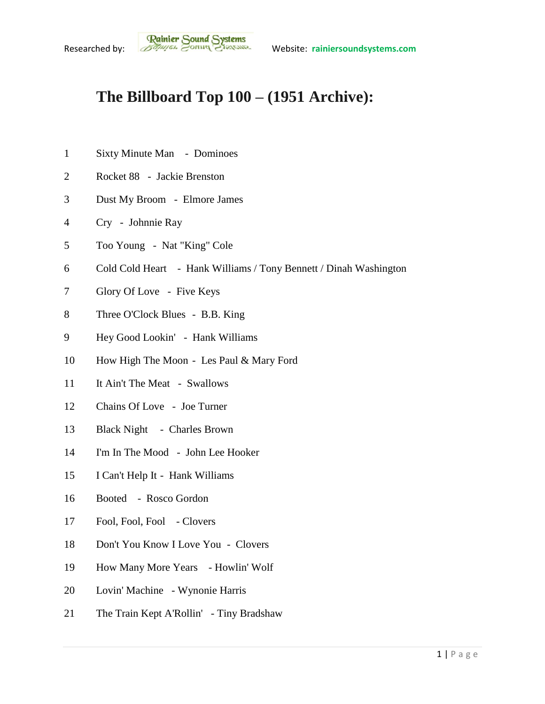## **The Billboard Top 100 – (1951 Archive):**

- Sixty Minute Man Dominoes
- Rocket 88 Jackie Brenston
- Dust My Broom Elmore James
- Cry Johnnie Ray
- Too Young Nat "King" Cole
- Cold Cold Heart Hank Williams / Tony Bennett / Dinah Washington
- Glory Of Love Five Keys
- Three O'Clock Blues B.B. King
- Hey Good Lookin' Hank Williams
- How High The Moon Les Paul & Mary Ford
- It Ain't The Meat Swallows
- Chains Of Love Joe Turner
- Black Night Charles Brown
- I'm In The Mood John Lee Hooker
- I Can't Help It Hank Williams
- Booted Rosco Gordon
- Fool, Fool, Fool Clovers
- Don't You Know I Love You Clovers
- How Many More Years Howlin' Wolf
- Lovin' Machine Wynonie Harris
- The Train Kept A'Rollin' Tiny Bradshaw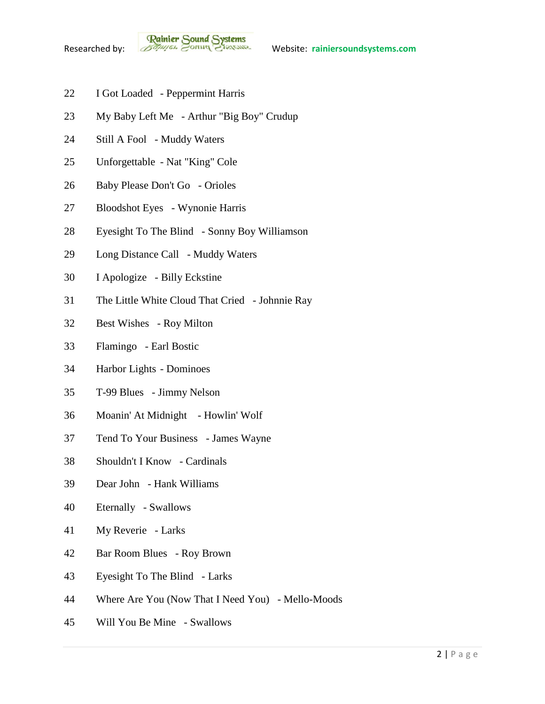**Rainier Sound Systems**<br>Researched by: *Bothuges* Conner Charantee Website: rainiersoundsystems.com

- I Got Loaded Peppermint Harris
- My Baby Left Me Arthur "Big Boy" Crudup
- Still A Fool Muddy Waters
- Unforgettable Nat "King" Cole
- Baby Please Don't Go Orioles
- Bloodshot Eyes Wynonie Harris
- Eyesight To The Blind Sonny Boy Williamson
- Long Distance Call Muddy Waters
- I Apologize Billy Eckstine
- The Little White Cloud That Cried Johnnie Ray
- Best Wishes Roy Milton
- Flamingo Earl Bostic
- Harbor Lights Dominoes
- T-99 Blues Jimmy Nelson
- Moanin' At Midnight Howlin' Wolf
- Tend To Your Business James Wayne
- Shouldn't I Know Cardinals
- Dear John Hank Williams
- Eternally Swallows
- My Reverie Larks
- Bar Room Blues Roy Brown
- Eyesight To The Blind Larks
- Where Are You (Now That I Need You) Mello-Moods
- Will You Be Mine Swallows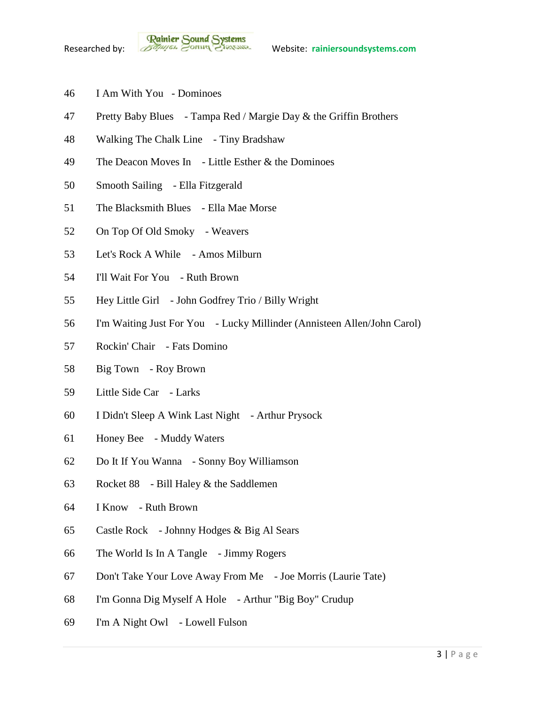- I Am With You Dominoes
- Pretty Baby Blues Tampa Red / Margie Day & the Griffin Brothers
- Walking The Chalk Line Tiny Bradshaw
- The Deacon Moves In Little Esther & the Dominoes
- Smooth Sailing Ella Fitzgerald
- The Blacksmith Blues Ella Mae Morse
- On Top Of Old Smoky Weavers
- Let's Rock A While Amos Milburn
- I'll Wait For You Ruth Brown
- Hey Little Girl John Godfrey Trio / Billy Wright
- I'm Waiting Just For You Lucky Millinder (Annisteen Allen/John Carol)
- Rockin' Chair Fats Domino
- Big Town Roy Brown
- Little Side Car Larks
- I Didn't Sleep A Wink Last Night Arthur Prysock
- Honey Bee Muddy Waters
- Do It If You Wanna Sonny Boy Williamson
- Rocket 88 Bill Haley & the Saddlemen
- I Know Ruth Brown
- Castle Rock Johnny Hodges & Big Al Sears
- The World Is In A Tangle Jimmy Rogers
- Don't Take Your Love Away From Me Joe Morris (Laurie Tate)
- I'm Gonna Dig Myself A Hole Arthur "Big Boy" Crudup
- I'm A Night Owl Lowell Fulson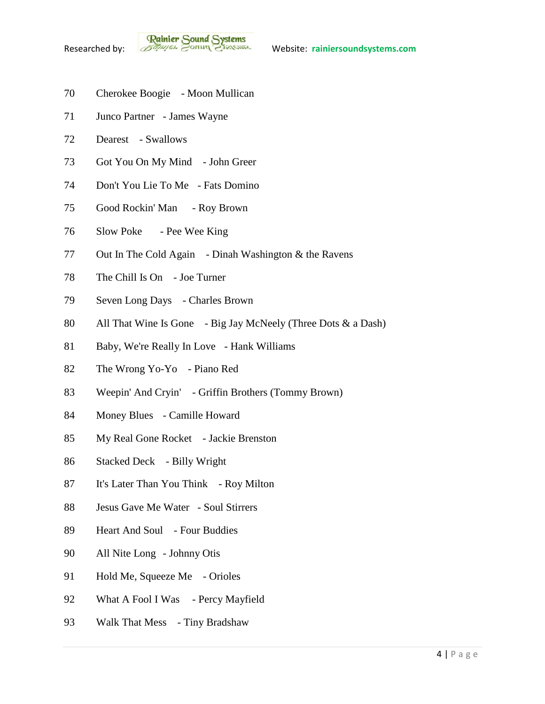- Cherokee Boogie Moon Mullican
- Junco Partner James Wayne
- Dearest Swallows
- Got You On My Mind John Greer
- Don't You Lie To Me Fats Domino
- Good Rockin' Man Roy Brown
- Slow Poke Pee Wee King
- Out In The Cold Again Dinah Washington & the Ravens
- The Chill Is On Joe Turner
- Seven Long Days Charles Brown
- All That Wine Is Gone Big Jay McNeely (Three Dots & a Dash)
- Baby, We're Really In Love Hank Williams
- The Wrong Yo-Yo Piano Red
- Weepin' And Cryin' Griffin Brothers (Tommy Brown)
- Money Blues Camille Howard
- My Real Gone Rocket Jackie Brenston
- Stacked Deck Billy Wright
- It's Later Than You Think Roy Milton
- Jesus Gave Me Water Soul Stirrers
- Heart And Soul Four Buddies
- All Nite Long Johnny Otis
- 91 Hold Me, Squeeze Me Orioles
- 92 What A Fool I Was Percy Mayfield
- Walk That Mess Tiny Bradshaw